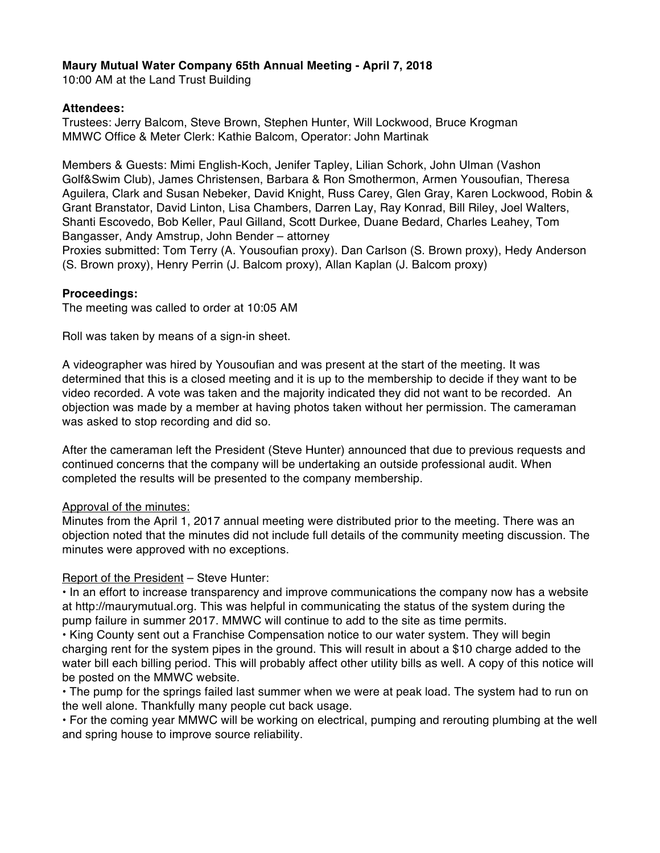# **Maury Mutual Water Company 65th Annual Meeting - April 7, 2018**

10:00 AM at the Land Trust Building

## **Attendees:**

Trustees: Jerry Balcom, Steve Brown, Stephen Hunter, Will Lockwood, Bruce Krogman MMWC Office & Meter Clerk: Kathie Balcom, Operator: John Martinak

Members & Guests: Mimi English-Koch, Jenifer Tapley, Lilian Schork, John Ulman (Vashon Golf&Swim Club), James Christensen, Barbara & Ron Smothermon, Armen Yousoufian, Theresa Aguilera, Clark and Susan Nebeker, David Knight, Russ Carey, Glen Gray, Karen Lockwood, Robin & Grant Branstator, David Linton, Lisa Chambers, Darren Lay, Ray Konrad, Bill Riley, Joel Walters, Shanti Escovedo, Bob Keller, Paul Gilland, Scott Durkee, Duane Bedard, Charles Leahey, Tom Bangasser, Andy Amstrup, John Bender – attorney

Proxies submitted: Tom Terry (A. Yousoufian proxy). Dan Carlson (S. Brown proxy), Hedy Anderson (S. Brown proxy), Henry Perrin (J. Balcom proxy), Allan Kaplan (J. Balcom proxy)

## **Proceedings:**

The meeting was called to order at 10:05 AM

Roll was taken by means of a sign-in sheet.

A videographer was hired by Yousoufian and was present at the start of the meeting. It was determined that this is a closed meeting and it is up to the membership to decide if they want to be video recorded. A vote was taken and the majority indicated they did not want to be recorded. An objection was made by a member at having photos taken without her permission. The cameraman was asked to stop recording and did so.

After the cameraman left the President (Steve Hunter) announced that due to previous requests and continued concerns that the company will be undertaking an outside professional audit. When completed the results will be presented to the company membership.

## Approval of the minutes:

Minutes from the April 1, 2017 annual meeting were distributed prior to the meeting. There was an objection noted that the minutes did not include full details of the community meeting discussion. The minutes were approved with no exceptions.

## Report of the President – Steve Hunter:

• In an effort to increase transparency and improve communications the company now has a website at http://maurymutual.org. This was helpful in communicating the status of the system during the pump failure in summer 2017. MMWC will continue to add to the site as time permits.

• King County sent out a Franchise Compensation notice to our water system. They will begin charging rent for the system pipes in the ground. This will result in about a \$10 charge added to the water bill each billing period. This will probably affect other utility bills as well. A copy of this notice will be posted on the MMWC website.

• The pump for the springs failed last summer when we were at peak load. The system had to run on the well alone. Thankfully many people cut back usage.

• For the coming year MMWC will be working on electrical, pumping and rerouting plumbing at the well and spring house to improve source reliability.